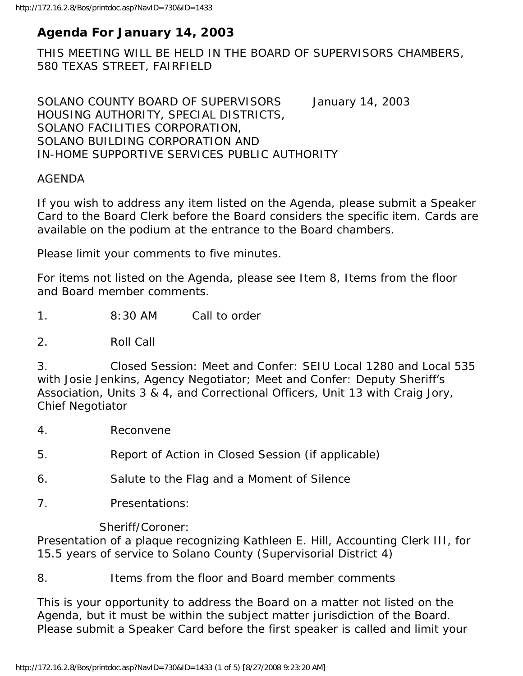# **Agenda For January 14, 2003**

THIS MEETING WILL BE HELD IN THE BOARD OF SUPERVISORS CHAMBERS, 580 TEXAS STREET, FAIRFIELD

SOLANO COUNTY BOARD OF SUPERVISORS January 14, 2003 HOUSING AUTHORITY, SPECIAL DISTRICTS, SOLANO FACILITIES CORPORATION, SOLANO BUILDING CORPORATION AND IN-HOME SUPPORTIVE SERVICES PUBLIC AUTHORITY

#### AGENDA

If you wish to address any item listed on the Agenda, please submit a Speaker Card to the Board Clerk before the Board considers the specific item. Cards are available on the podium at the entrance to the Board chambers.

Please limit your comments to five minutes.

For items not listed on the Agenda, please see Item 8, Items from the floor and Board member comments.

1. 8:30 AM Call to order

2. Roll Call

3. Closed Session: Meet and Confer: SEIU Local 1280 and Local 535 with Josie Jenkins, Agency Negotiator; Meet and Confer: Deputy Sheriff's Association, Units 3 & 4, and Correctional Officers, Unit 13 with Craig Jory, Chief Negotiator

- 4. Reconvene
- 5. Report of Action in Closed Session (if applicable)
- 6. Salute to the Flag and a Moment of Silence
- 7. Presentations:

Sheriff/Coroner:

Presentation of a plaque recognizing Kathleen E. Hill, Accounting Clerk III, for 15.5 years of service to Solano County (Supervisorial District 4)

#### 8. Items from the floor and Board member comments

This is your opportunity to address the Board on a matter not listed on the Agenda, but it must be within the subject matter jurisdiction of the Board. Please submit a Speaker Card before the first speaker is called and limit your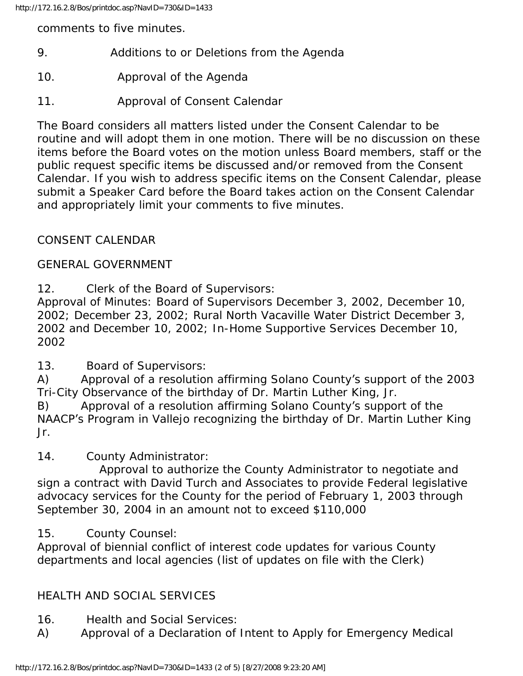comments to five minutes.

- 9. Additions to or Deletions from the Agenda
- 10. Approval of the Agenda
- 11. Approval of Consent Calendar

The Board considers all matters listed under the Consent Calendar to be routine and will adopt them in one motion. There will be no discussion on these items before the Board votes on the motion unless Board members, staff or the public request specific items be discussed and/or removed from the Consent Calendar. If you wish to address specific items on the Consent Calendar, please submit a Speaker Card before the Board takes action on the Consent Calendar and appropriately limit your comments to five minutes.

### CONSENT CALENDAR

#### GENERAL GOVERNMENT

12. Clerk of the Board of Supervisors:

Approval of Minutes: Board of Supervisors December 3, 2002, December 10, 2002; December 23, 2002; Rural North Vacaville Water District December 3, 2002 and December 10, 2002; In-Home Supportive Services December 10, 2002

13. Board of Supervisors:

A) Approval of a resolution affirming Solano County's support of the 2003 Tri-City Observance of the birthday of Dr. Martin Luther King, Jr.

B) Approval of a resolution affirming Solano County's support of the NAACP's Program in Vallejo recognizing the birthday of Dr. Martin Luther King Jr.

### 14. County Administrator:

 Approval to authorize the County Administrator to negotiate and sign a contract with David Turch and Associates to provide Federal legislative advocacy services for the County for the period of February 1, 2003 through September 30, 2004 in an amount not to exceed \$110,000

### 15. County Counsel:

Approval of biennial conflict of interest code updates for various County departments and local agencies (list of updates on file with the Clerk)

## HEALTH AND SOCIAL SERVICES

- 16. Health and Social Services:
- A) Approval of a Declaration of Intent to Apply for Emergency Medical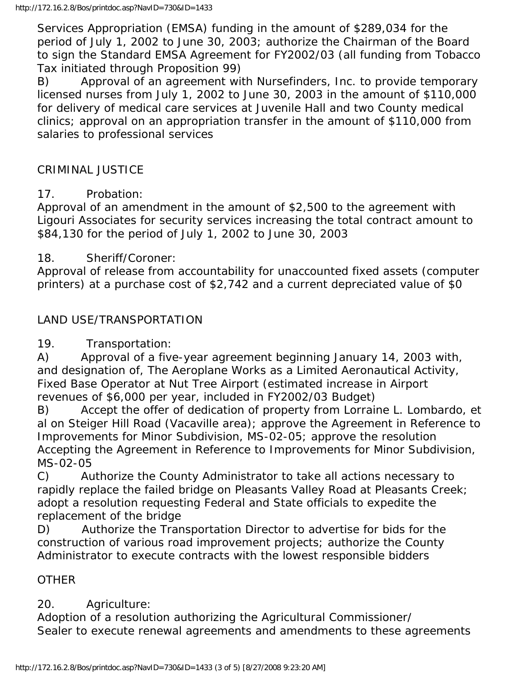Services Appropriation (EMSA) funding in the amount of \$289,034 for the period of July 1, 2002 to June 30, 2003; authorize the Chairman of the Board to sign the Standard EMSA Agreement for FY2002/03 (all funding from Tobacco Tax initiated through Proposition 99)

B) Approval of an agreement with Nursefinders, Inc. to provide temporary licensed nurses from July 1, 2002 to June 30, 2003 in the amount of \$110,000 for delivery of medical care services at Juvenile Hall and two County medical clinics; approval on an appropriation transfer in the amount of \$110,000 from salaries to professional services

#### CRIMINAL JUSTICE

#### 17. Probation:

Approval of an amendment in the amount of \$2,500 to the agreement with Ligouri Associates for security services increasing the total contract amount to \$84,130 for the period of July 1, 2002 to June 30, 2003

#### 18. Sheriff/Coroner:

Approval of release from accountability for unaccounted fixed assets (computer printers) at a purchase cost of \$2,742 and a current depreciated value of \$0

### LAND USE/TRANSPORTATION

19. Transportation:

A) Approval of a five-year agreement beginning January 14, 2003 with, and designation of, The Aeroplane Works as a Limited Aeronautical Activity, Fixed Base Operator at Nut Tree Airport (estimated increase in Airport revenues of \$6,000 per year, included in FY2002/03 Budget)

B) Accept the offer of dedication of property from Lorraine L. Lombardo, et al on Steiger Hill Road (Vacaville area); approve the Agreement in Reference to Improvements for Minor Subdivision, MS-02-05; approve the resolution Accepting the Agreement in Reference to Improvements for Minor Subdivision, MS-02-05

C) Authorize the County Administrator to take all actions necessary to rapidly replace the failed bridge on Pleasants Valley Road at Pleasants Creek; adopt a resolution requesting Federal and State officials to expedite the replacement of the bridge

D) Authorize the Transportation Director to advertise for bids for the construction of various road improvement projects; authorize the County Administrator to execute contracts with the lowest responsible bidders

#### **OTHER**

20. Agriculture:

Adoption of a resolution authorizing the Agricultural Commissioner/ Sealer to execute renewal agreements and amendments to these agreements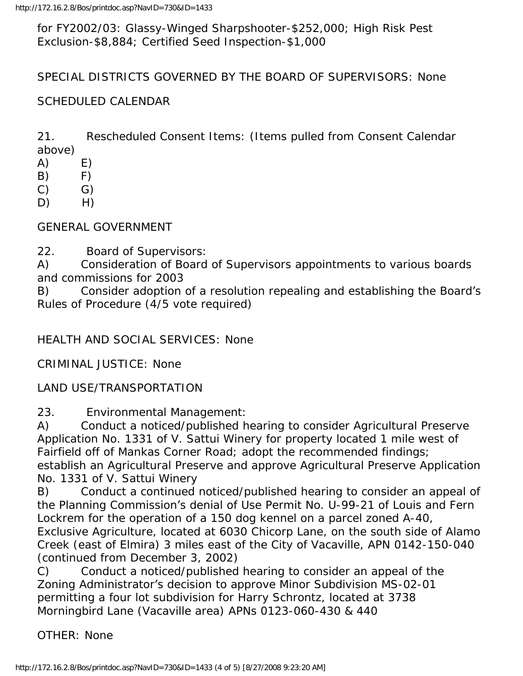for FY2002/03: Glassy-Winged Sharpshooter-\$252,000; High Risk Pest Exclusion-\$8,884; Certified Seed Inspection-\$1,000

SPECIAL DISTRICTS GOVERNED BY THE BOARD OF SUPERVISORS: None

#### SCHEDULED CALENDAR

21. Rescheduled Consent Items: (Items pulled from Consent Calendar above)

- $(A)$   $E)$
- B) F)
- $(C)$   $G)$
- D) H)

GENERAL GOVERNMENT

22. Board of Supervisors:

A) Consideration of Board of Supervisors appointments to various boards and commissions for 2003

B) Consider adoption of a resolution repealing and establishing the Board's Rules of Procedure (4/5 vote required)

HEALTH AND SOCIAL SERVICES: None

CRIMINAL JUSTICE: None

LAND USE/TRANSPORTATION

23. Environmental Management:

A) Conduct a noticed/published hearing to consider Agricultural Preserve Application No. 1331 of V. Sattui Winery for property located 1 mile west of Fairfield off of Mankas Corner Road; adopt the recommended findings; establish an Agricultural Preserve and approve Agricultural Preserve Application No. 1331 of V. Sattui Winery

B) Conduct a continued noticed/published hearing to consider an appeal of the Planning Commission's denial of Use Permit No. U-99-21 of Louis and Fern Lockrem for the operation of a 150 dog kennel on a parcel zoned A-40, Exclusive Agriculture, located at 6030 Chicorp Lane, on the south side of Alamo Creek (east of Elmira) 3 miles east of the City of Vacaville, APN 0142-150-040 (continued from December 3, 2002)

C) Conduct a noticed/published hearing to consider an appeal of the Zoning Administrator's decision to approve Minor Subdivision MS-02-01 permitting a four lot subdivision for Harry Schrontz, located at 3738 Morningbird Lane (Vacaville area) APNs 0123-060-430 & 440

OTHER: None